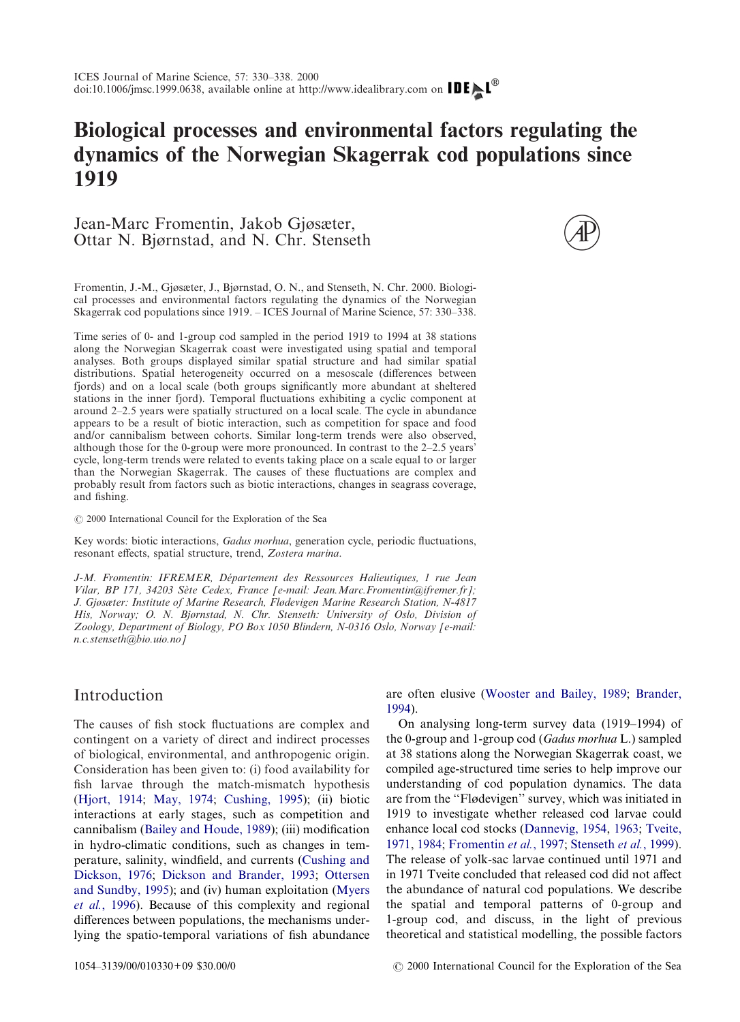# **Biological processes and environmental factors regulating the dynamics of the Norwegian Skagerrak cod populations since 1919**

## Jean-Marc Fromentin, Jakob Gjøsæter, Ottar N. Bjørnstad, and N. Chr. Stenseth



Fromentin, J.-M., Gjøsæter, J., Bjørnstad, O. N., and Stenseth, N. Chr. 2000. Biological processes and environmental factors regulating the dynamics of the Norwegian Skagerrak cod populations since 1919. – ICES Journal of Marine Science, 57: 330–338.

Time series of 0- and 1-group cod sampled in the period 1919 to 1994 at 38 stations along the Norwegian Skagerrak coast were investigated using spatial and temporal analyses. Both groups displayed similar spatial structure and had similar spatial distributions. Spatial heterogeneity occurred on a mesoscale (differences between fjords) and on a local scale (both groups significantly more abundant at sheltered stations in the inner fjord). Temporal fluctuations exhibiting a cyclic component at around 2–2.5 years were spatially structured on a local scale. The cycle in abundance appears to be a result of biotic interaction, such as competition for space and food and/or cannibalism between cohorts. Similar long-term trends were also observed, although those for the 0-group were more pronounced. In contrast to the 2–2.5 years' cycle, long-term trends were related to events taking place on a scale equal to or larger than the Norwegian Skagerrak. The causes of these fluctuations are complex and probably result from factors such as biotic interactions, changes in seagrass coverage, and fishing.

2000 International Council for the Exploration of the Sea

Key words: biotic interactions, *Gadus morhua*, generation cycle, periodic fluctuations, resonant effects, spatial structure, trend, *Zostera marina*.

*J-M. Fromentin: IFREMER, De´partement des Ressources Halieutiques, 1 rue Jean Vilar, BP 171, 34203 Se`te Cedex, France [e-mail: Jean.Marc.Fromentin@ifremer.fr]; J. Gjøsæter: Institute of Marine Research, Flødevigen Marine Research Station, N-4817 His, Norway; O. N. Bjørnstad, N. Chr. Stenseth: University of Oslo, Division of Zoology, Department of Biology, PO Box 1050 Blindern, N-0316 Oslo, Norway [e-mail: n.c.stenseth@bio.uio.no]*

# Introduction

The causes of fish stock fluctuations are complex and contingent on a variety of direct and indirect processes of biological, environmental, and anthropogenic origin. Consideration has been given to: (i) food availability for fish larvae through the match-mismatch hypothesis [\(Hjort, 1914;](#page-7-0) [May, 1974;](#page-7-1) [Cushing, 1995\)](#page-7-2); (ii) biotic interactions at early stages, such as competition and cannibalism [\(Bailey and Houde, 1989\)](#page-6-0); (iii) modification in hydro-climatic conditions, such as changes in temperature, salinity, windfield, and currents [\(Cushing and](#page-7-3) [Dickson, 1976;](#page-7-3) [Dickson and Brander, 1993;](#page-7-4) [Ottersen](#page-7-5) [and Sundby, 1995\)](#page-7-5); and (iv) human exploitation [\(Myers](#page-7-6) *et al.*[, 1996\)](#page-7-6). Because of this complexity and regional differences between populations, the mechanisms underlying the spatio-temporal variations of fish abundance are often elusive [\(Wooster and Bailey, 1989;](#page-8-0) [Brander,](#page-6-1) [1994\)](#page-6-1).

On analysing long-term survey data (1919–1994) of the 0-group and 1-group cod (*Gadus morhua* L.) sampled at 38 stations along the Norwegian Skagerrak coast, we compiled age-structured time series to help improve our understanding of cod population dynamics. The data are from the ''Flødevigen'' survey, which was initiated in 1919 to investigate whether released cod larvae could enhance local cod stocks [\(Dannevig, 1954,](#page-7-7) [1963;](#page-7-8) [Tveite,](#page-8-1) [1971,](#page-8-1) [1984;](#page-8-2) [Fromentin](#page-7-9) *et al.*, 1997; [Stenseth](#page-7-10) *et al.*, 1999). The release of yolk-sac larvae continued until 1971 and in 1971 Tveite concluded that released cod did not affect the abundance of natural cod populations. We describe the spatial and temporal patterns of 0-group and 1-group cod, and discuss, in the light of previous theoretical and statistical modelling, the possible factors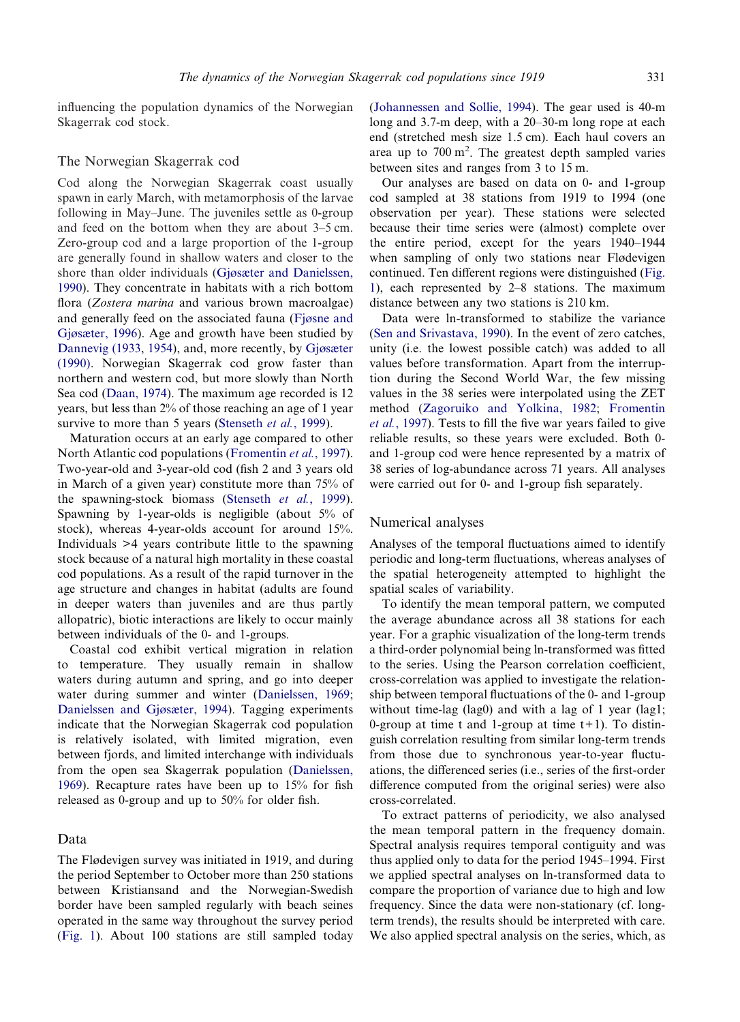influencing the population dynamics of the Norwegian Skagerrak cod stock.

## The Norwegian Skagerrak cod

Cod along the Norwegian Skagerrak coast usually spawn in early March, with metamorphosis of the larvae following in May–June. The juveniles settle as 0-group and feed on the bottom when they are about 3–5 cm. Zero-group cod and a large proportion of the 1-group are generally found in shallow waters and closer to the shore than older individuals [\(Gjøsæter and Danielssen,](#page-7-11) [1990\)](#page-7-11). They concentrate in habitats with a rich bottom flora (*Zostera marina* and various brown macroalgae) and generally feed on the associated fauna [\(Fjøsne and](#page-7-12) [Gjøsæter, 1996\)](#page-7-12). Age and growth have been studied by [Dannevig \(1933,](#page-7-13) [1954\)](#page-7-7), and, more recently, by [Gjøsæter](#page-7-14) [\(1990\).](#page-7-14) Norwegian Skagerrak cod grow faster than northern and western cod, but more slowly than North Sea cod [\(Daan, 1974\)](#page-7-15). The maximum age recorded is 12 years, but less than 2% of those reaching an age of 1 year survive to more than 5 years [\(Stenseth](#page-7-10) *et al.*, 1999).

Maturation occurs at an early age compared to other North Atlantic cod populations [\(Fromentin](#page-7-9) *et al.*, 1997). Two-year-old and 3-year-old cod (fish 2 and 3 years old in March of a given year) constitute more than 75% of the spawning-stock biomass [\(Stenseth](#page-7-10) *et al.*, 1999). Spawning by 1-year-olds is negligible (about 5% of stock), whereas 4-year-olds account for around 15%. Individuals >4 years contribute little to the spawning stock because of a natural high mortality in these coastal cod populations. As a result of the rapid turnover in the age structure and changes in habitat (adults are found in deeper waters than juveniles and are thus partly allopatric), biotic interactions are likely to occur mainly between individuals of the 0- and 1-groups.

Coastal cod exhibit vertical migration in relation to temperature. They usually remain in shallow waters during autumn and spring, and go into deeper water during summer and winter [\(Danielssen, 1969;](#page-7-16) [Danielssen and Gjøsæter, 1994\)](#page-7-17). Tagging experiments indicate that the Norwegian Skagerrak cod population is relatively isolated, with limited migration, even between fjords, and limited interchange with individuals from the open sea Skagerrak population [\(Danielssen,](#page-7-16) [1969\)](#page-7-16). Recapture rates have been up to 15% for fish released as 0-group and up to 50% for older fish.

## Data

The Flødevigen survey was initiated in 1919, and during the period September to October more than 250 stations between Kristiansand and the Norwegian-Swedish border have been sampled regularly with beach seines operated in the same way throughout the survey period [\(Fig. 1\)](#page-2-0). About 100 stations are still sampled today

[\(Johannessen and Sollie, 1994\)](#page-7-18). The gear used is 40-m long and 3.7-m deep, with a 20–30-m long rope at each end (stretched mesh size 1.5 cm). Each haul covers an area up to  $700 \text{ m}^2$ . The greatest depth sampled varies between sites and ranges from 3 to 15 m.

Our analyses are based on data on 0- and 1-group cod sampled at 38 stations from 1919 to 1994 (one observation per year). These stations were selected because their time series were (almost) complete over the entire period, except for the years 1940–1944 when sampling of only two stations near Flødevigen continued. Ten different regions were distinguished [\(Fig.](#page-2-0) [1\)](#page-2-0), each represented by 2–8 stations. The maximum distance between any two stations is 210 km.

Data were ln-transformed to stabilize the variance [\(Sen and Srivastava, 1990\)](#page-7-19). In the event of zero catches, unity (i.e. the lowest possible catch) was added to all values before transformation. Apart from the interruption during the Second World War, the few missing values in the 38 series were interpolated using the ZET method [\(Zagoruiko and Yolkina, 1982;](#page-8-3) [Fromentin](#page-7-9) *et al.*[, 1997\)](#page-7-9). Tests to fill the five war years failed to give reliable results, so these years were excluded. Both 0 and 1-group cod were hence represented by a matrix of 38 series of log-abundance across 71 years. All analyses were carried out for 0- and 1-group fish separately.

#### Numerical analyses

Analyses of the temporal fluctuations aimed to identify periodic and long-term fluctuations, whereas analyses of the spatial heterogeneity attempted to highlight the spatial scales of variability.

To identify the mean temporal pattern, we computed the average abundance across all 38 stations for each year. For a graphic visualization of the long-term trends a third-order polynomial being ln-transformed was fitted to the series. Using the Pearson correlation coefficient, cross-correlation was applied to investigate the relationship between temporal fluctuations of the 0- and 1-group without time-lag (lag0) and with a lag of 1 year (lag1; 0-group at time t and 1-group at time  $t+1$ ). To distinguish correlation resulting from similar long-term trends from those due to synchronous year-to-year fluctuations, the differenced series (i.e., series of the first-order difference computed from the original series) were also cross-correlated.

To extract patterns of periodicity, we also analysed the mean temporal pattern in the frequency domain. Spectral analysis requires temporal contiguity and was thus applied only to data for the period 1945–1994. First we applied spectral analyses on ln-transformed data to compare the proportion of variance due to high and low frequency. Since the data were non-stationary (cf. longterm trends), the results should be interpreted with care. We also applied spectral analysis on the series, which, as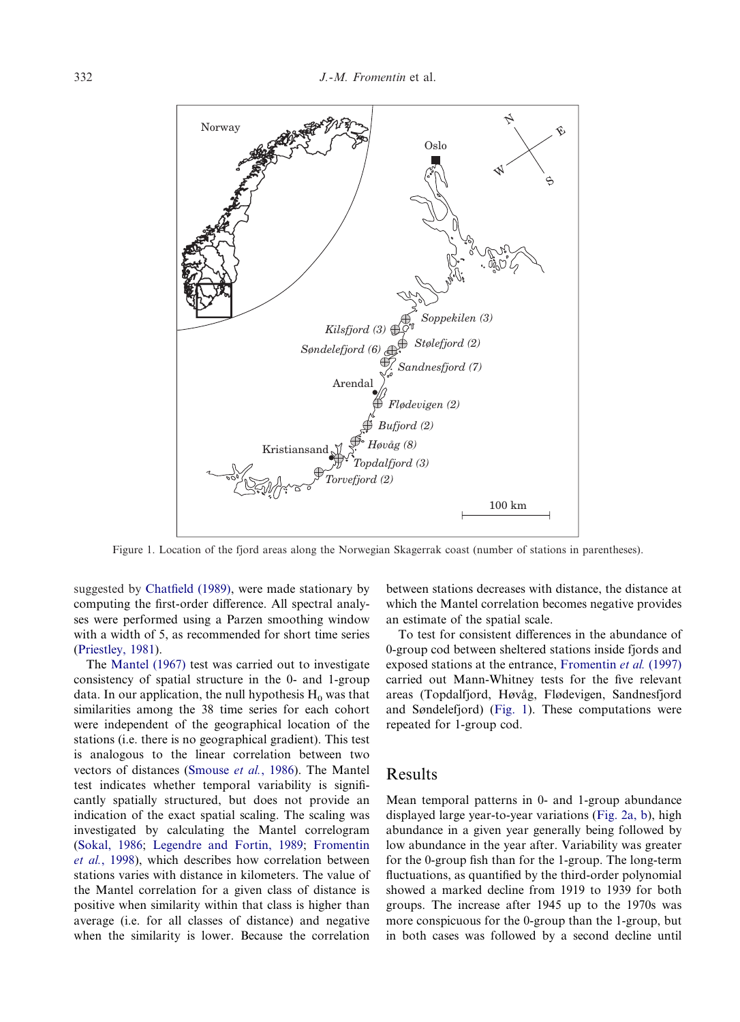<span id="page-2-0"></span>

Figure 1. Location of the fjord areas along the Norwegian Skagerrak coast (number of stations in parentheses).

suggested by [Chatfield \(1989\),](#page-7-20) were made stationary by computing the first-order difference. All spectral analyses were performed using a Parzen smoothing window with a width of 5, as recommended for short time series [\(Priestley, 1981\)](#page-7-21).

The [Mantel \(1967\)](#page-7-22) test was carried out to investigate consistency of spatial structure in the 0- and 1-group data. In our application, the null hypothesis  $H_0$  was that similarities among the 38 time series for each cohort were independent of the geographical location of the stations (i.e. there is no geographical gradient). This test is analogous to the linear correlation between two vectors of distances [\(Smouse](#page-7-23) *et al.*, 1986). The Mantel test indicates whether temporal variability is significantly spatially structured, but does not provide an indication of the exact spatial scaling. The scaling was investigated by calculating the Mantel correlogram [\(Sokal, 1986;](#page-7-24) [Legendre and Fortin, 1989;](#page-7-25) [Fromentin](#page-7-26) *et al.*[, 1998\)](#page-7-26), which describes how correlation between stations varies with distance in kilometers. The value of the Mantel correlation for a given class of distance is positive when similarity within that class is higher than average (i.e. for all classes of distance) and negative when the similarity is lower. Because the correlation

between stations decreases with distance, the distance at which the Mantel correlation becomes negative provides an estimate of the spatial scale.

To test for consistent differences in the abundance of 0-group cod between sheltered stations inside fjords and exposed stations at the entrance, [Fromentin](#page-7-9) *et al.* (1997) carried out Mann-Whitney tests for the five relevant areas (Topdalfjord, Høvåg, Flødevigen, Sandnesfjord and Søndelefjord) [\(Fig. 1\)](#page-2-0). These computations were repeated for 1-group cod.

## Results

Mean temporal patterns in 0- and 1-group abundance displayed large year-to-year variations [\(Fig. 2a, b\)](#page-3-0), high abundance in a given year generally being followed by low abundance in the year after. Variability was greater for the 0-group fish than for the 1-group. The long-term fluctuations, as quantified by the third-order polynomial showed a marked decline from 1919 to 1939 for both groups. The increase after 1945 up to the 1970s was more conspicuous for the 0-group than the 1-group, but in both cases was followed by a second decline until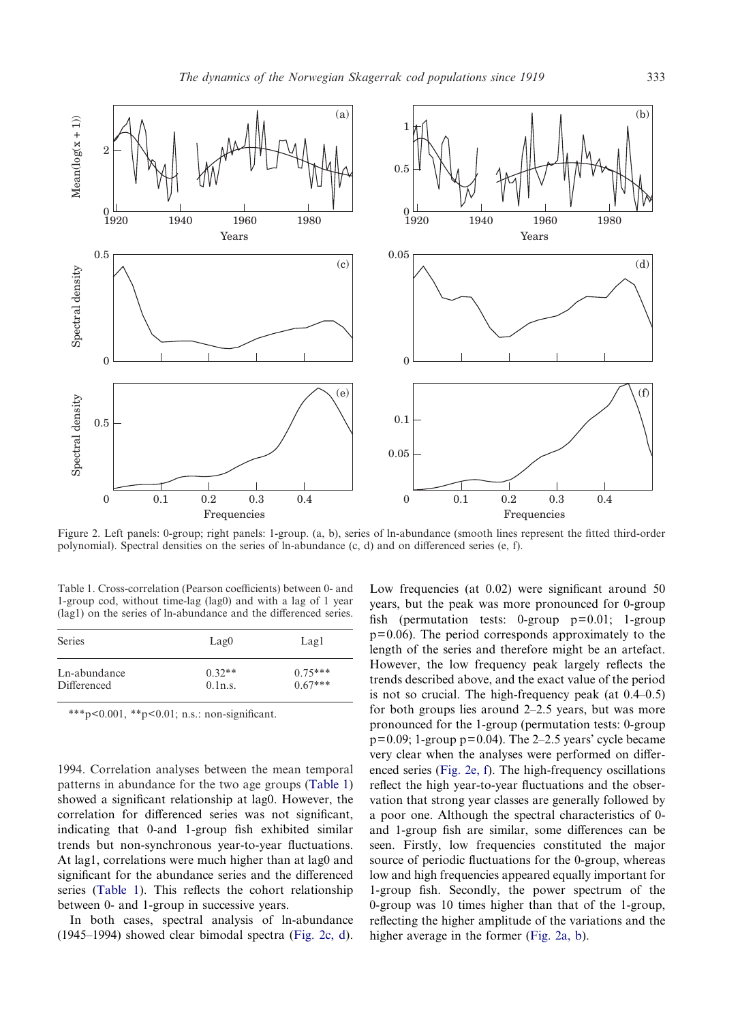<span id="page-3-0"></span>

Figure 2. Left panels: 0-group; right panels: 1-group. (a, b), series of ln-abundance (smooth lines represent the fitted third-order polynomial). Spectral densities on the series of ln-abundance (c, d) and on differenced series (e, f).

<span id="page-3-1"></span>Table 1. Cross-correlation (Pearson coefficients) between 0- and 1-group cod, without time-lag (lag0) and with a lag of 1 year (lag1) on the series of ln-abundance and the differenced series.

| <b>Series</b> | Lag0     | Lagl      |
|---------------|----------|-----------|
| Ln-abundance  | $0.32**$ | $0.75***$ |
| Differenced   | 0.1n.s.  | $0.67***$ |

\*\*\*p<0.001, \*\*p<0.01; n.s.: non-significant.

1994. Correlation analyses between the mean temporal patterns in abundance for the two age groups [\(Table 1\)](#page-3-1) showed a significant relationship at lag0. However, the correlation for differenced series was not significant, indicating that 0-and 1-group fish exhibited similar trends but non-synchronous year-to-year fluctuations. At lag1, correlations were much higher than at lag0 and significant for the abundance series and the differenced series [\(Table 1\)](#page-3-1). This reflects the cohort relationship between 0- and 1-group in successive years.

In both cases, spectral analysis of ln-abundance (1945–1994) showed clear bimodal spectra [\(Fig. 2c, d\)](#page-3-0). Low frequencies (at 0.02) were significant around 50 years, but the peak was more pronounced for 0-group fish (permutation tests: 0-group  $p=0.01$ ; 1-group  $p=0.06$ ). The period corresponds approximately to the length of the series and therefore might be an artefact. However, the low frequency peak largely reflects the trends described above, and the exact value of the period is not so crucial. The high-frequency peak (at  $0.4-0.5$ ) for both groups lies around 2–2.5 years, but was more pronounced for the 1-group (permutation tests: 0-group  $p=0.09$ ; 1-group  $p=0.04$ ). The 2–2.5 years' cycle became very clear when the analyses were performed on differenced series [\(Fig. 2e, f\)](#page-3-0). The high-frequency oscillations reflect the high year-to-year fluctuations and the observation that strong year classes are generally followed by a poor one. Although the spectral characteristics of 0 and 1-group fish are similar, some differences can be seen. Firstly, low frequencies constituted the major source of periodic fluctuations for the 0-group, whereas low and high frequencies appeared equally important for 1-group fish. Secondly, the power spectrum of the 0-group was 10 times higher than that of the 1-group, reflecting the higher amplitude of the variations and the higher average in the former [\(Fig. 2a, b\)](#page-3-0).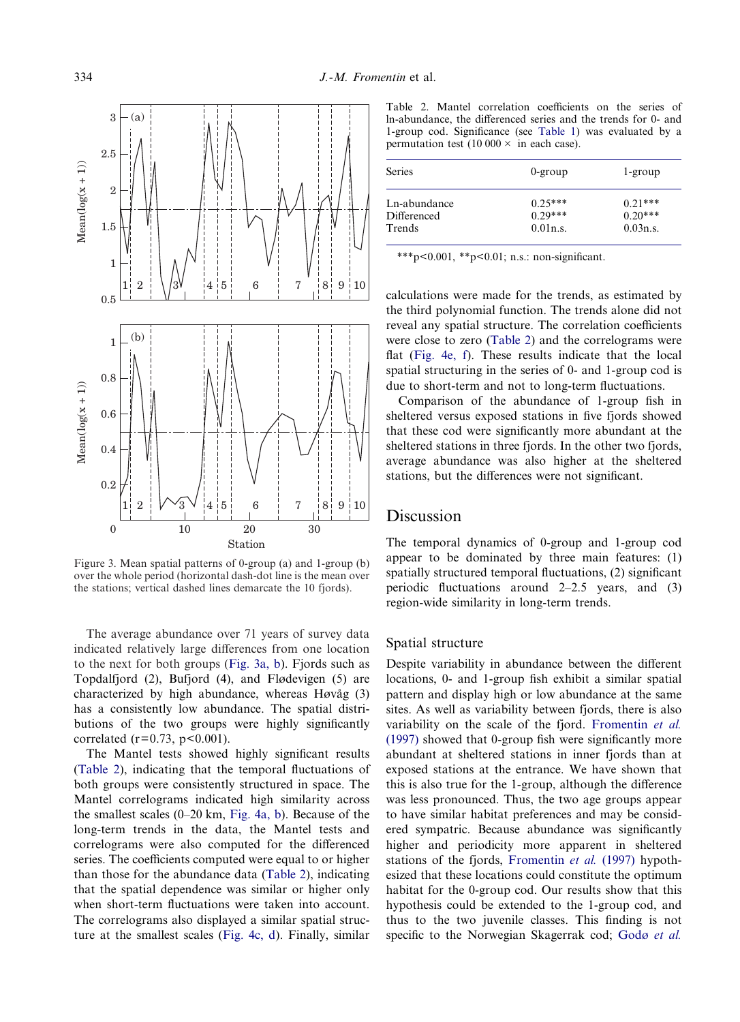<span id="page-4-0"></span>

Figure 3. Mean spatial patterns of 0-group (a) and 1-group (b) over the whole period (horizontal dash-dot line is the mean over the stations; vertical dashed lines demarcate the 10 fjords).

The average abundance over 71 years of survey data indicated relatively large differences from one location to the next for both groups [\(Fig. 3a, b\)](#page-4-0). Fjords such as Topdalfjord (2), Bufjord (4), and Flødevigen (5) are characterized by high abundance, whereas  $H\omega\alpha$ <sup>g</sup> (3) has a consistently low abundance. The spatial distributions of the two groups were highly significantly correlated ( $r = 0.73$ ,  $p < 0.001$ ).

The Mantel tests showed highly significant results [\(Table 2\)](#page-4-1), indicating that the temporal fluctuations of both groups were consistently structured in space. The Mantel correlograms indicated high similarity across the smallest scales (0–20 km, [Fig. 4a, b\)](#page-5-0). Because of the long-term trends in the data, the Mantel tests and correlograms were also computed for the differenced series. The coefficients computed were equal to or higher than those for the abundance data [\(Table 2\)](#page-4-1), indicating that the spatial dependence was similar or higher only when short-term fluctuations were taken into account. The correlograms also displayed a similar spatial structure at the smallest scales [\(Fig. 4c, d\)](#page-5-0). Finally, similar

<span id="page-4-1"></span>Table 2. Mantel correlation coefficients on the series of ln-abundance, the differenced series and the trends for 0- and 1-group cod. Significance (see [Table 1](#page-3-1)) was evaluated by a permutation test  $(10\,000 \times \text{in each case}).$ 

| <b>Series</b> | $0$ -group | $1$ -group |
|---------------|------------|------------|
| Ln-abundance  | $0.25***$  | $0.21***$  |
| Differenced   | $0.29***$  | $0.20***$  |
| Trends        | 0.01n.s.   | 0.03n.s.   |

\*\*\*p<0.001, \*\*p<0.01; n.s.: non-significant.

calculations were made for the trends, as estimated by the third polynomial function. The trends alone did not reveal any spatial structure. The correlation coefficients were close to zero [\(Table 2\)](#page-4-1) and the correlograms were flat [\(Fig. 4e, f\)](#page-5-0). These results indicate that the local spatial structuring in the series of 0- and 1-group cod is due to short-term and not to long-term fluctuations.

Comparison of the abundance of 1-group fish in sheltered versus exposed stations in five fjords showed that these cod were significantly more abundant at the sheltered stations in three fjords. In the other two fjords, average abundance was also higher at the sheltered stations, but the differences were not significant.

## Discussion

The temporal dynamics of 0-group and 1-group cod appear to be dominated by three main features: (1) spatially structured temporal fluctuations, (2) significant periodic fluctuations around 2–2.5 years, and (3) region-wide similarity in long-term trends.

#### Spatial structure

Despite variability in abundance between the different locations, 0- and 1-group fish exhibit a similar spatial pattern and display high or low abundance at the same sites. As well as variability between fjords, there is also variability on the scale of the fjord. [Fromentin](#page-7-9) *et al.* [\(1997\)](#page-7-9) showed that 0-group fish were significantly more abundant at sheltered stations in inner fjords than at exposed stations at the entrance. We have shown that this is also true for the 1-group, although the difference was less pronounced. Thus, the two age groups appear to have similar habitat preferences and may be considered sympatric. Because abundance was significantly higher and periodicity more apparent in sheltered stations of the fjords, [Fromentin](#page-7-9) *et al.* (1997) hypothesized that these locations could constitute the optimum habitat for the 0-group cod. Our results show that this hypothesis could be extended to the 1-group cod, and thus to the two juvenile classes. This finding is not specific to the Norwegian Skagerrak cod; [Godø](#page-7-27) *et al.*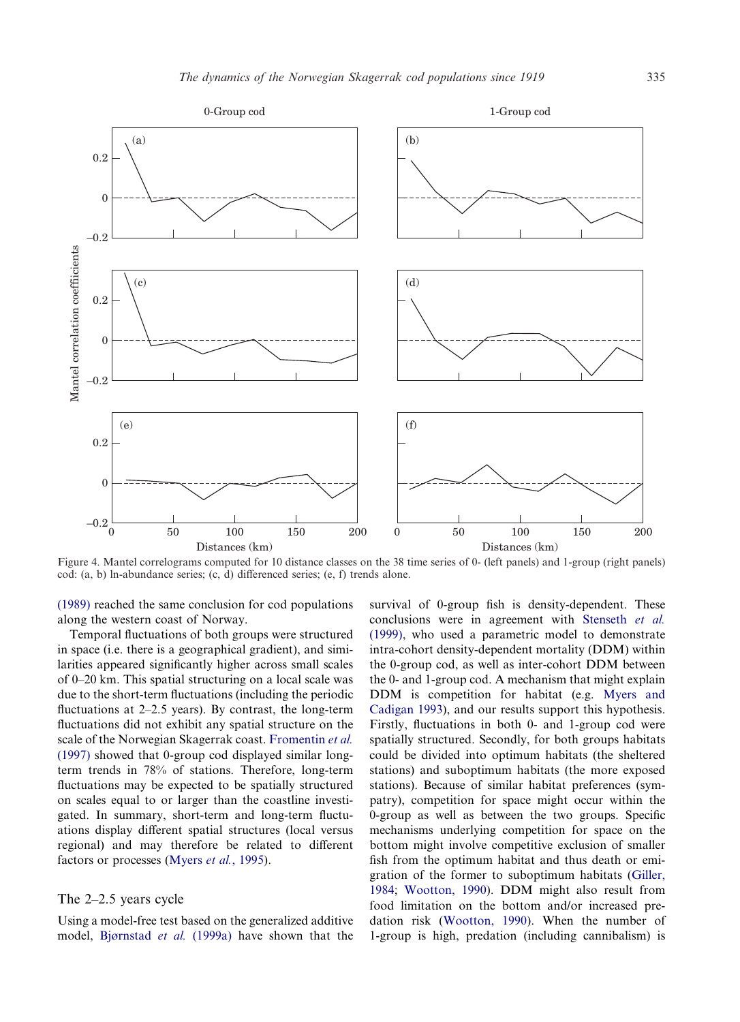<span id="page-5-0"></span>

Figure 4. Mantel correlograms computed for 10 distance classes on the 38 time series of 0- (left panels) and 1-group (right panels) cod: (a, b) ln-abundance series; (c, d) differenced series; (e, f) trends alone.

(1989) reached the same conclusion for cod populations along the western coast of Norway.

Temporal fluctuations of both groups were structured in space (i.e. there is a geographical gradient), and similarities appeared significantly higher across small scales of 0–20 km. This spatial structuring on a local scale was due to the short-term fluctuations (including the periodic fluctuations at 2–2.5 years). By contrast, the long-term fluctuations did not exhibit any spatial structure on the scale of the Norwegian Skagerrak coast. [Fromentin](#page-7-9) *et al.* [\(1997\)](#page-7-9) showed that 0-group cod displayed similar longterm trends in 78% of stations. Therefore, long-term fluctuations may be expected to be spatially structured on scales equal to or larger than the coastline investigated. In summary, short-term and long-term fluctuations display different spatial structures (local versus regional) and may therefore be related to different factors or processes [\(Myers](#page-7-28) *et al.*, 1995).

#### The 2–2.5 years cycle

Using a model-free test based on the generalized additive model, [Bjørnstad](#page-6-2) *et al.* (1999a) have shown that the survival of 0-group fish is density-dependent. These conclusions were in agreement with [Stenseth](#page-7-10) *et al.* [\(1999\),](#page-7-10) who used a parametric model to demonstrate intra-cohort density-dependent mortality (DDM) within the 0-group cod, as well as inter-cohort DDM between the 0- and 1-group cod. A mechanism that might explain DDM is competition for habitat (e.g. [Myers and](#page-7-29) [Cadigan 1993\)](#page-7-29), and our results support this hypothesis. Firstly, fluctuations in both 0- and 1-group cod were spatially structured. Secondly, for both groups habitats could be divided into optimum habitats (the sheltered stations) and suboptimum habitats (the more exposed stations). Because of similar habitat preferences (sympatry), competition for space might occur within the 0-group as well as between the two groups. Specific mechanisms underlying competition for space on the bottom might involve competitive exclusion of smaller fish from the optimum habitat and thus death or emigration of the former to suboptimum habitats [\(Giller,](#page-7-30) [1984;](#page-7-30) [Wootton, 1990\)](#page-8-4). DDM might also result from food limitation on the bottom and/or increased predation risk [\(Wootton, 1990\)](#page-8-4). When the number of 1-group is high, predation (including cannibalism) is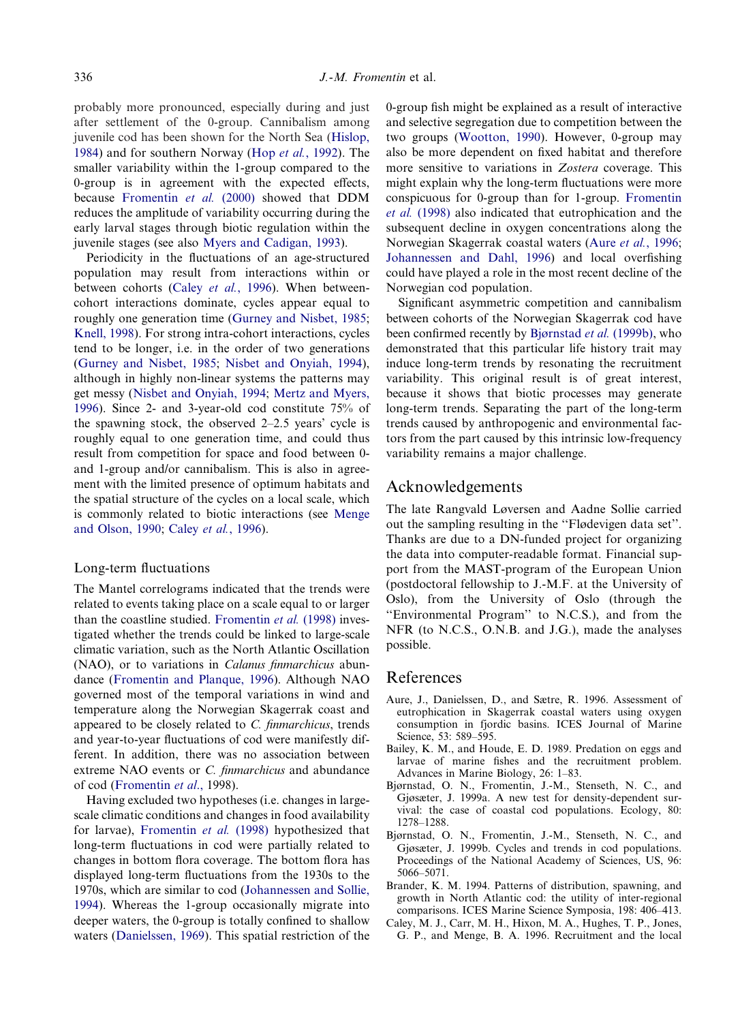probably more pronounced, especially during and just after settlement of the 0-group. Cannibalism among juvenile cod has been shown for the North Sea [\(Hislop,](#page-7-31) [1984\)](#page-7-31) and for southern Norway (Hop *et al.*[, 1992\)](#page-7-32). The smaller variability within the 1-group compared to the 0-group is in agreement with the expected effects, because [Fromentin](#page-7-33) *et al.* (2000) showed that DDM reduces the amplitude of variability occurring during the early larval stages through biotic regulation within the juvenile stages (see also [Myers and Cadigan, 1993\)](#page-7-29).

Periodicity in the fluctuations of an age-structured population may result from interactions within or between cohorts (Caley *et al.*[, 1996\)](#page-6-3). When betweencohort interactions dominate, cycles appear equal to roughly one generation time [\(Gurney and Nisbet, 1985;](#page-7-34) [Knell, 1998\)](#page-7-35). For strong intra-cohort interactions, cycles tend to be longer, i.e. in the order of two generations [\(Gurney and Nisbet, 1985;](#page-7-34) [Nisbet and Onyiah, 1994\)](#page-7-36), although in highly non-linear systems the patterns may get messy [\(Nisbet and Onyiah, 1994;](#page-7-36) [Mertz and Myers,](#page-7-37) [1996\)](#page-7-37). Since 2- and 3-year-old cod constitute 75% of the spawning stock, the observed 2–2.5 years' cycle is roughly equal to one generation time, and could thus result from competition for space and food between 0 and 1-group and/or cannibalism. This is also in agreement with the limited presence of optimum habitats and the spatial structure of the cycles on a local scale, which is commonly related to biotic interactions (see [Menge](#page-7-38) [and Olson, 1990;](#page-7-38) Caley *et al.*[, 1996\)](#page-6-3).

#### Long-term fluctuations

The Mantel correlograms indicated that the trends were related to events taking place on a scale equal to or larger than the coastline studied. [Fromentin](#page-7-26) *et al.* (1998) investigated whether the trends could be linked to large-scale climatic variation, such as the North Atlantic Oscillation (NAO), or to variations in *Calanus finmarchicus* abundance [\(Fromentin and Planque, 1996\)](#page-7-39). Although NAO governed most of the temporal variations in wind and temperature along the Norwegian Skagerrak coast and appeared to be closely related to *C. finmarchicus*, trends and year-to-year fluctuations of cod were manifestly different. In addition, there was no association between extreme NAO events or *C. finmarchicus* and abundance of cod [\(Fromentin](#page-7-26) *et al*., 1998).

Having excluded two hypotheses (i.e. changes in largescale climatic conditions and changes in food availability for larvae), [Fromentin](#page-7-26) *et al.* (1998) hypothesized that long-term fluctuations in cod were partially related to changes in bottom flora coverage. The bottom flora has displayed long-term fluctuations from the 1930s to the 1970s, which are similar to cod [\(Johannessen and Sollie,](#page-7-40) [1994\)](#page-7-40). Whereas the 1-group occasionally migrate into deeper waters, the 0-group is totally confined to shallow waters [\(Danielssen, 1969\)](#page-7-16). This spatial restriction of the

0-group fish might be explained as a result of interactive and selective segregation due to competition between the two groups [\(Wootton, 1990\)](#page-8-4). However, 0-group may also be more dependent on fixed habitat and therefore more sensitive to variations in *Zostera* coverage. This might explain why the long-term fluctuations were more conspicuous for 0-group than for 1-group. [Fromentin](#page-7-26) *et al.* [\(1998\)](#page-7-26) also indicated that eutrophication and the subsequent decline in oxygen concentrations along the Norwegian Skagerrak coastal waters (Aure *et al.*[, 1996;](#page-6-4) [Johannessen and Dahl, 1996\)](#page-7-40) and local overfishing could have played a role in the most recent decline of the Norwegian cod population.

Significant asymmetric competition and cannibalism between cohorts of the Norwegian Skagerrak cod have been confirmed recently by [Bjørnstad](#page-6-5) *et al.* (1999b), who demonstrated that this particular life history trait may induce long-term trends by resonating the recruitment variability. This original result is of great interest, because it shows that biotic processes may generate long-term trends. Separating the part of the long-term trends caused by anthropogenic and environmental factors from the part caused by this intrinsic low-frequency variability remains a major challenge.

## Acknowledgements

The late Rangvald Løversen and Aadne Sollie carried out the sampling resulting in the ''Flødevigen data set''. Thanks are due to a DN-funded project for organizing the data into computer-readable format. Financial support from the MAST-program of the European Union (postdoctoral fellowship to J.-M.F. at the University of Oslo), from the University of Oslo (through the ''Environmental Program'' to N.C.S.), and from the NFR (to N.C.S., O.N.B. and J.G.), made the analyses possible.

## References

- <span id="page-6-4"></span>Aure, J., Danielssen, D., and Sætre, R. 1996. Assessment of eutrophication in Skagerrak coastal waters using oxygen consumption in fjordic basins. ICES Journal of Marine Science, 53: 589–595.
- <span id="page-6-0"></span>Bailey, K. M., and Houde, E. D. 1989. Predation on eggs and larvae of marine fishes and the recruitment problem. Advances in Marine Biology, 26: 1–83.
- <span id="page-6-2"></span>Bjørnstad, O. N., Fromentin, J.-M., Stenseth, N. C., and Gjøsæter, J. 1999a. A new test for density-dependent survival: the case of coastal cod populations. Ecology, 80: 1278–1288.
- <span id="page-6-5"></span>Bjørnstad, O. N., Fromentin, J.-M., Stenseth, N. C., and Gjøsæter, J. 1999b. Cycles and trends in cod populations. Proceedings of the National Academy of Sciences, US, 96: 5066–5071.
- <span id="page-6-1"></span>Brander, K. M. 1994. Patterns of distribution, spawning, and growth in North Atlantic cod: the utility of inter-regional comparisons. ICES Marine Science Symposia, 198: 406–413.
- <span id="page-6-3"></span>Caley, M. J., Carr, M. H., Hixon, M. A., Hughes, T. P., Jones, G. P., and Menge, B. A. 1996. Recruitment and the local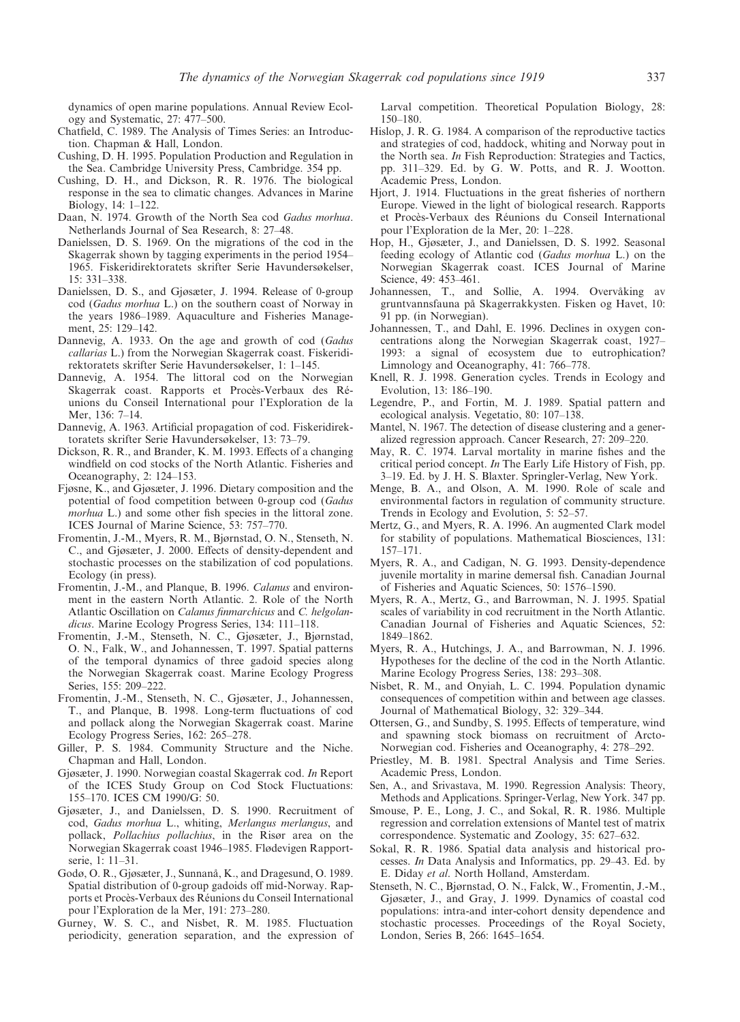dynamics of open marine populations. Annual Review Ecology and Systematic, 27: 477–500.

- <span id="page-7-20"></span>Chatfield, C. 1989. The Analysis of Times Series: an Introduction. Chapman & Hall, London.
- <span id="page-7-2"></span>Cushing, D. H. 1995. Population Production and Regulation in the Sea. Cambridge University Press, Cambridge. 354 pp.
- <span id="page-7-3"></span>Cushing, D. H., and Dickson, R. R. 1976. The biological response in the sea to climatic changes. Advances in Marine Biology, 14: 1–122.
- <span id="page-7-15"></span>Daan, N. 1974. Growth of the North Sea cod *Gadus morhua*. Netherlands Journal of Sea Research, 8: 27–48.
- <span id="page-7-16"></span>Danielssen, D. S. 1969. On the migrations of the cod in the Skagerrak shown by tagging experiments in the period 1954– 1965. Fiskeridirektoratets skrifter Serie Havundersøkelser, 15: 331–338.
- <span id="page-7-17"></span>Danielssen, D. S., and Gjøsæter, J. 1994. Release of 0-group cod (*Gadus morhua* L.) on the southern coast of Norway in the years 1986–1989. Aquaculture and Fisheries Management, 25: 129–142.
- <span id="page-7-13"></span>Dannevig, A. 1933. On the age and growth of cod (*Gadus callarias* L.) from the Norwegian Skagerrak coast. Fiskeridirektoratets skrifter Serie Havundersøkelser, 1: 1–145.
- <span id="page-7-7"></span>Dannevig, A. 1954. The littoral cod on the Norwegian Skagerrak coast. Rapports et Procès-Verbaux des Réunions du Conseil International pour l'Exploration de la Mer, 136: 7–14.
- <span id="page-7-8"></span>Dannevig, A. 1963. Artificial propagation of cod. Fiskeridirektoratets skrifter Serie Havundersøkelser, 13: 73–79.
- <span id="page-7-4"></span>Dickson, R. R., and Brander, K. M. 1993. Effects of a changing windfield on cod stocks of the North Atlantic. Fisheries and Oceanography, 2: 124–153.
- <span id="page-7-12"></span>Fjøsne, K., and Gjøsæter, J. 1996. Dietary composition and the potential of food competition between 0-group cod (*Gadus morhua* L.) and some other fish species in the littoral zone. ICES Journal of Marine Science, 53: 757–770.
- <span id="page-7-33"></span>Fromentin, J.-M., Myers, R. M., Bjørnstad, O. N., Stenseth, N. C., and Gjøsæter, J. 2000. Effects of density-dependent and stochastic processes on the stabilization of cod populations. Ecology (in press).
- <span id="page-7-39"></span>Fromentin, J.-M., and Planque, B. 1996. *Calanus* and environment in the eastern North Atlantic. 2. Role of the North Atlantic Oscillation on *Calanus finmarchicus* and *C. helgolandicus*. Marine Ecology Progress Series, 134: 111–118.
- <span id="page-7-9"></span>Fromentin, J.-M., Stenseth, N. C., Gjøsæter, J., Bjørnstad, O. N., Falk, W., and Johannessen, T. 1997. Spatial patterns of the temporal dynamics of three gadoid species along the Norwegian Skagerrak coast. Marine Ecology Progress Series, 155: 209–222.
- <span id="page-7-26"></span>Fromentin, J.-M., Stenseth, N. C., Gjøsæter, J., Johannessen, T., and Planque, B. 1998. Long-term fluctuations of cod and pollack along the Norwegian Skagerrak coast. Marine Ecology Progress Series, 162: 265–278.
- <span id="page-7-30"></span>Giller, P. S. 1984. Community Structure and the Niche. Chapman and Hall, London.
- <span id="page-7-14"></span>Gjøsæter, J. 1990. Norwegian coastal Skagerrak cod. *In* Report of the ICES Study Group on Cod Stock Fluctuations: 155–170. ICES CM 1990/G: 50.
- <span id="page-7-11"></span>Gjøsæter, J., and Danielssen, D. S. 1990. Recruitment of cod, *Gadus morhua* L., whiting, *Merlangus merlangus*, and pollack, *Pollachius pollachius*, in the Risør area on the Norwegian Skagerrak coast 1946–1985. Flødevigen Rapportserie, 1: 11–31.
- <span id="page-7-27"></span>Godø, O. R., Gjøsæter, J., Sunnanå, K., and Dragesund, O. 1989. Spatial distribution of 0-group gadoids off mid-Norway. Rapports et Procès-Verbaux des Réunions du Conseil International pour l'Exploration de la Mer, 191: 273–280.
- <span id="page-7-34"></span>Gurney, W. S. C., and Nisbet, R. M. 1985. Fluctuation periodicity, generation separation, and the expression of

Larval competition. Theoretical Population Biology, 28: 150–180.

- <span id="page-7-31"></span>Hislop, J. R. G. 1984. A comparison of the reproductive tactics and strategies of cod, haddock, whiting and Norway pout in the North sea. *In* Fish Reproduction: Strategies and Tactics, pp. 311–329. Ed. by G. W. Potts, and R. J. Wootton. Academic Press, London.
- <span id="page-7-0"></span>Hjort, J. 1914. Fluctuations in the great fisheries of northern Europe. Viewed in the light of biological research. Rapports et Procès-Verbaux des Réunions du Conseil International pour l'Exploration de la Mer, 20: 1–228.
- <span id="page-7-32"></span>Hop, H., Gjøsæter, J., and Danielssen, D. S. 1992. Seasonal feeding ecology of Atlantic cod (*Gadus morhua* L.) on the Norwegian Skagerrak coast. ICES Journal of Marine Science, 49: 453–461.
- <span id="page-7-40"></span>Johannessen, T., and Sollie, A. 1994. Overvåking av gruntvannsfauna på Skagerrakkysten. Fisken og Havet, 10: 91 pp. (in Norwegian).
- <span id="page-7-18"></span>Johannessen, T., and Dahl, E. 1996. Declines in oxygen concentrations along the Norwegian Skagerrak coast, 1927– 1993: a signal of ecosystem due to eutrophication? Limnology and Oceanography, 41: 766–778.
- <span id="page-7-35"></span>Knell, R. J. 1998. Generation cycles. Trends in Ecology and Evolution, 13: 186–190.
- <span id="page-7-25"></span>Legendre, P., and Fortin, M. J. 1989. Spatial pattern and ecological analysis. Vegetatio, 80: 107–138.
- <span id="page-7-22"></span>Mantel, N. 1967. The detection of disease clustering and a generalized regression approach. Cancer Research, 27: 209–220.
- <span id="page-7-1"></span>May, R. C. 1974. Larval mortality in marine fishes and the critical period concept. *In* The Early Life History of Fish, pp. 3–19. Ed. by J. H. S. Blaxter. Springler-Verlag, New York.
- <span id="page-7-38"></span>Menge, B. A., and Olson, A. M. 1990. Role of scale and environmental factors in regulation of community structure. Trends in Ecology and Evolution, 5: 52–57.
- <span id="page-7-37"></span>Mertz, G., and Myers, R. A. 1996. An augmented Clark model for stability of populations. Mathematical Biosciences, 131: 157–171.
- <span id="page-7-29"></span>Myers, R. A., and Cadigan, N. G. 1993. Density-dependence juvenile mortality in marine demersal fish. Canadian Journal of Fisheries and Aquatic Sciences, 50: 1576–1590.
- <span id="page-7-28"></span>Myers, R. A., Mertz, G., and Barrowman, N. J. 1995. Spatial scales of variability in cod recruitment in the North Atlantic. Canadian Journal of Fisheries and Aquatic Sciences, 52: 1849–1862.
- <span id="page-7-6"></span>Myers, R. A., Hutchings, J. A., and Barrowman, N. J. 1996. Hypotheses for the decline of the cod in the North Atlantic. Marine Ecology Progress Series, 138: 293–308.
- <span id="page-7-36"></span>Nisbet, R. M., and Onyiah, L. C. 1994. Population dynamic consequences of competition within and between age classes. Journal of Mathematical Biology, 32: 329–344.
- <span id="page-7-5"></span>Ottersen, G., and Sundby, S. 1995. Effects of temperature, wind and spawning stock biomass on recruitment of Arcto-Norwegian cod. Fisheries and Oceanography, 4: 278–292.
- <span id="page-7-21"></span>Priestley, M. B. 1981. Spectral Analysis and Time Series. Academic Press, London.
- <span id="page-7-19"></span>Sen, A., and Srivastava, M. 1990. Regression Analysis: Theory, Methods and Applications. Springer-Verlag, New York. 347 pp.
- <span id="page-7-23"></span>Smouse, P. E., Long, J. C., and Sokal, R. R. 1986. Multiple regression and correlation extensions of Mantel test of matrix correspondence. Systematic and Zoology, 35: 627–632.
- <span id="page-7-24"></span>Sokal, R. R. 1986. Spatial data analysis and historical processes. *In* Data Analysis and Informatics, pp. 29–43. Ed. by E. Diday *et al*. North Holland, Amsterdam.
- <span id="page-7-10"></span>Stenseth, N. C., Bjørnstad, O. N., Falck, W., Fromentin, J.-M., Gjøsæter, J., and Gray, J. 1999. Dynamics of coastal cod populations: intra-and inter-cohort density dependence and stochastic processes. Proceedings of the Royal Society, London, Series B, 266: 1645–1654.